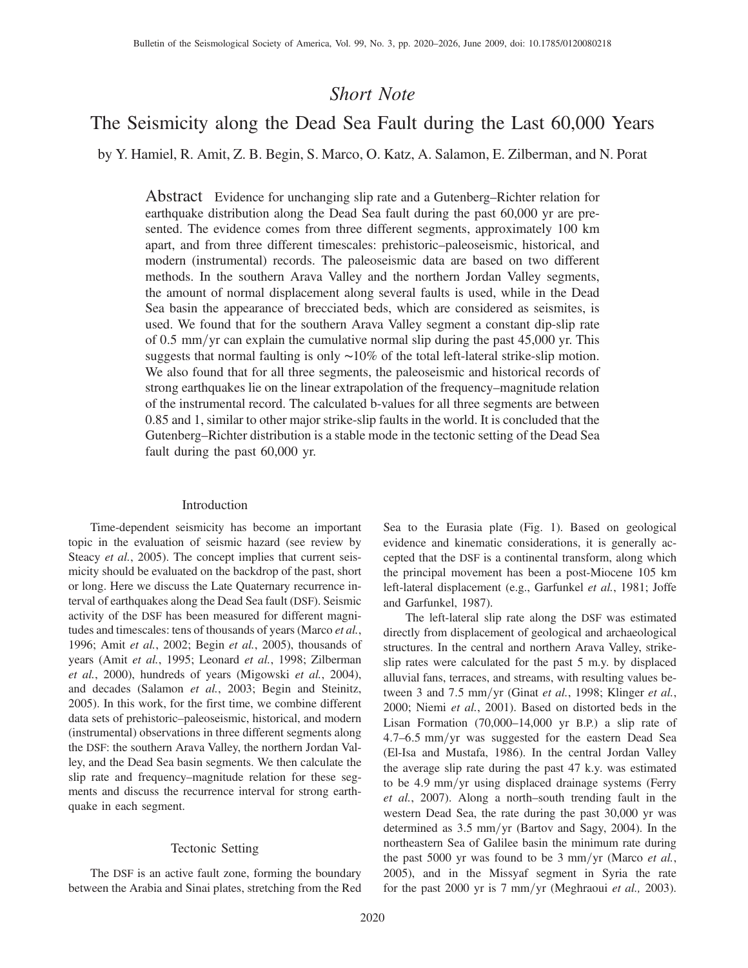# Short Note

# The Seismicity along the Dead Sea Fault during the Last 60,000 Years

by Y. Hamiel, R. Amit, Z. B. Begin, S. Marco, O. Katz, A. Salamon, E. Zilberman, and N. Porat

Abstract Evidence for unchanging slip rate and a Gutenberg–Richter relation for earthquake distribution along the Dead Sea fault during the past 60,000 yr are presented. The evidence comes from three different segments, approximately 100 km apart, and from three different timescales: prehistoric–paleoseismic, historical, and modern (instrumental) records. The paleoseismic data are based on two different methods. In the southern Arava Valley and the northern Jordan Valley segments, the amount of normal displacement along several faults is used, while in the Dead Sea basin the appearance of brecciated beds, which are considered as seismites, is used. We found that for the southern Arava Valley segment a constant dip-slip rate of 0.5 mm/yr can explain the cumulative normal slip during the past  $45,000$  yr. This suggests that normal faulting is only ~10% of the total left-lateral strike-slip motion. We also found that for all three segments, the paleoseismic and historical records of strong earthquakes lie on the linear extrapolation of the frequency–magnitude relation of the instrumental record. The calculated b-values for all three segments are between 0.85 and 1, similar to other major strike-slip faults in the world. It is concluded that the Gutenberg–Richter distribution is a stable mode in the tectonic setting of the Dead Sea fault during the past 60,000 yr.

#### Introduction

Time-dependent seismicity has become an important topic in the evaluation of seismic hazard (see review by Steacy et al., 2005). The concept implies that current seismicity should be evaluated on the backdrop of the past, short or long. Here we discuss the Late Quaternary recurrence interval of earthquakes along the Dead Sea fault (DSF). Seismic activity of the DSF has been measured for different magnitudes and timescales: tens of thousands of years (Marco et al., 1996; Amit et al., 2002; Begin et al., 2005), thousands of years (Amit et al., 1995; Leonard et al., 1998; Zilberman et al., 2000), hundreds of years (Migowski et al., 2004), and decades (Salamon et al., 2003; Begin and Steinitz, 2005). In this work, for the first time, we combine different data sets of prehistoric–paleoseismic, historical, and modern (instrumental) observations in three different segments along the DSF: the southern Arava Valley, the northern Jordan Valley, and the Dead Sea basin segments. We then calculate the slip rate and frequency–magnitude relation for these segments and discuss the recurrence interval for strong earthquake in each segment.

# Tectonic Setting

The DSF is an active fault zone, forming the boundary between the Arabia and Sinai plates, stretching from the Red Sea to the Eurasia plate (Fig. 1). Based on geological evidence and kinematic considerations, it is generally accepted that the DSF is a continental transform, along which the principal movement has been a post-Miocene 105 km left-lateral displacement (e.g., Garfunkel et al., 1981; Joffe and Garfunkel, 1987).

The left-lateral slip rate along the DSF was estimated directly from displacement of geological and archaeological structures. In the central and northern Arava Valley, strikeslip rates were calculated for the past 5 m.y. by displaced alluvial fans, terraces, and streams, with resulting values between 3 and 7.5 mm/yr (Ginat et al., 1998; Klinger et al., 2000; Niemi et al., 2001). Based on distorted beds in the Lisan Formation (70,000–14,000 yr B.P.) a slip rate of  $4.7-6.5$  mm/yr was suggested for the eastern Dead Sea (El-Isa and Mustafa, 1986). In the central Jordan Valley the average slip rate during the past 47 k.y. was estimated to be 4.9 mm/yr using displaced drainage systems (Ferry et al., 2007). Along a north–south trending fault in the western Dead Sea, the rate during the past 30,000 yr was determined as  $3.5 \text{ mm/yr}$  (Bartov and Sagy, 2004). In the northeastern Sea of Galilee basin the minimum rate during the past 5000 yr was found to be 3 mm/yr (Marco *et al.*, 2005), and in the Missyaf segment in Syria the rate for the past 2000 yr is  $7 \text{ mm/yr}$  (Meghraoui et al., 2003).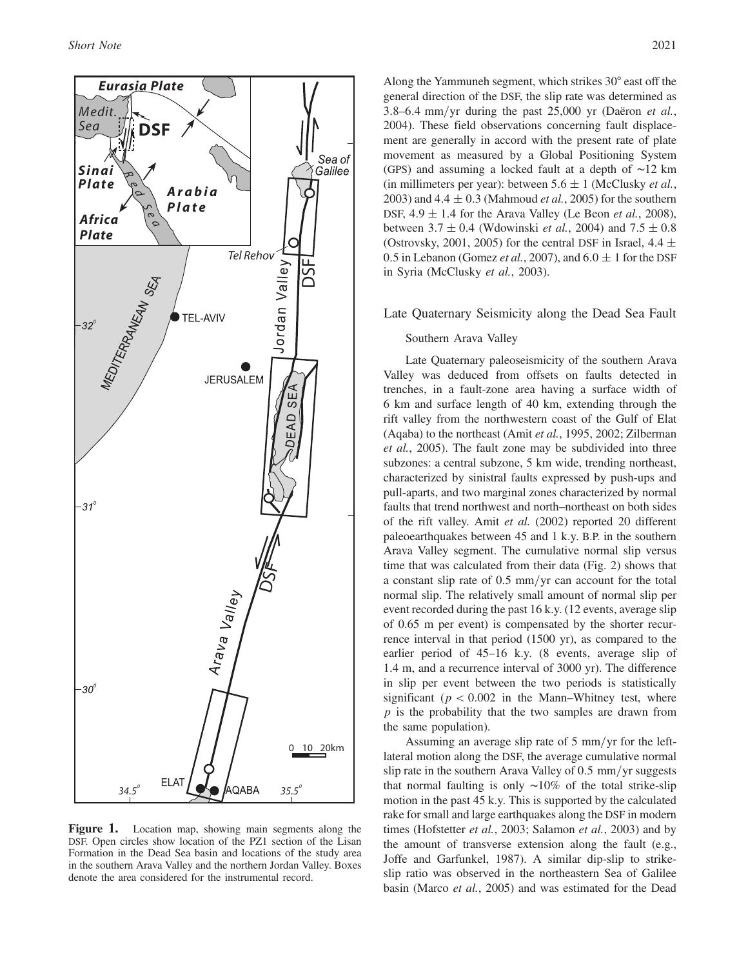

Figure 1. Location map, showing main segments along the DSF. Open circles show location of the PZ1 section of the Lisan Formation in the Dead Sea basin and locations of the study area in the southern Arava Valley and the northern Jordan Valley. Boxes denote the area considered for the instrumental record.

Along the Yammuneh segment, which strikes 30° east off the general direction of the DSF, the slip rate was determined as 3.8–6.4 mm/yr during the past  $25,000$  yr (Daëron et al., 2004). These field observations concerning fault displacement are generally in accord with the present rate of plate movement as measured by a Global Positioning System (GPS) and assuming a locked fault at a depth of ∼12 km (in millimeters per year): between  $5.6 \pm 1$  (McClusky *et al.*, 2003) and  $4.4 \pm 0.3$  (Mahmoud *et al.*, 2005) for the southern DSF,  $4.9 \pm 1.4$  for the Arava Valley (Le Beon *et al.*, 2008), between  $3.7 \pm 0.4$  (Wdowinski *et al.*, 2004) and  $7.5 \pm 0.8$ (Ostrovsky, 2001, 2005) for the central DSF in Israel,  $4.4 \pm$ 0.5 in Lebanon (Gomez *et al.*, 2007), and  $6.0 \pm 1$  for the DSF in Syria (McClusky et al., 2003).

## Late Quaternary Seismicity along the Dead Sea Fault

#### Southern Arava Valley

Late Quaternary paleoseismicity of the southern Arava Valley was deduced from offsets on faults detected in trenches, in a fault-zone area having a surface width of 6 km and surface length of 40 km, extending through the rift valley from the northwestern coast of the Gulf of Elat (Aqaba) to the northeast (Amit et al., 1995, 2002; Zilberman et al., 2005). The fault zone may be subdivided into three subzones: a central subzone, 5 km wide, trending northeast, characterized by sinistral faults expressed by push-ups and pull-aparts, and two marginal zones characterized by normal faults that trend northwest and north–northeast on both sides of the rift valley. Amit et al. (2002) reported 20 different paleoearthquakes between 45 and 1 k.y. B.P. in the southern Arava Valley segment. The cumulative normal slip versus time that was calculated from their data (Fig. 2) shows that a constant slip rate of  $0.5 \text{ mm/yr}$  can account for the total normal slip. The relatively small amount of normal slip per event recorded during the past 16 k.y. (12 events, average slip of 0.65 m per event) is compensated by the shorter recurrence interval in that period (1500 yr), as compared to the earlier period of 45–16 k.y. (8 events, average slip of 1.4 m, and a recurrence interval of 3000 yr). The difference in slip per event between the two periods is statistically significant ( $p < 0.002$  in the Mann–Whitney test, where  $p$  is the probability that the two samples are drawn from the same population).

Assuming an average slip rate of  $5 \text{ mm/yr}$  for the leftlateral motion along the DSF, the average cumulative normal slip rate in the southern Arava Valley of  $0.5 \text{ mm/yr}$  suggests that normal faulting is only ∼10% of the total strike-slip motion in the past 45 k.y. This is supported by the calculated rake for small and large earthquakes along the DSF in modern times (Hofstetter *et al.*, 2003; Salamon *et al.*, 2003) and by the amount of transverse extension along the fault (e.g., Joffe and Garfunkel, 1987). A similar dip-slip to strikeslip ratio was observed in the northeastern Sea of Galilee basin (Marco et al., 2005) and was estimated for the Dead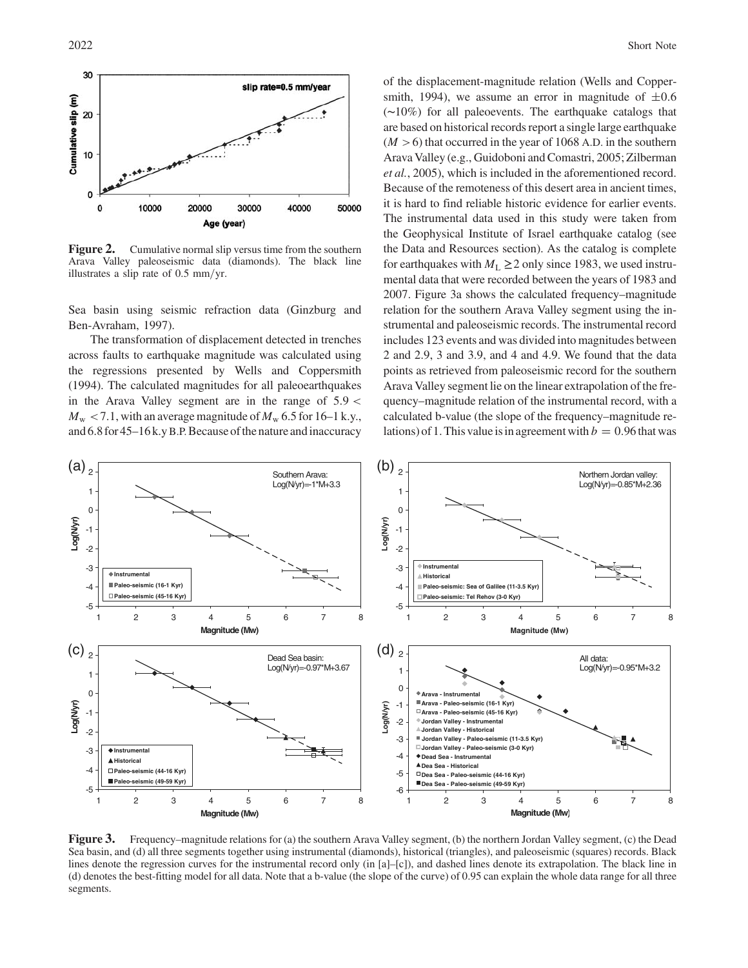

**Figure 2.** Cumulative normal slip versus time from the southern Arava Valley paleoseismic data (diamonds). The black line illustrates a slip rate of  $0.5 \text{ mm/yr}$ .

Sea basin using seismic refraction data (Ginzburg and Ben-Avraham, 1997).

The transformation of displacement detected in trenches across faults to earthquake magnitude was calculated using the regressions presented by Wells and Coppersmith (1994). The calculated magnitudes for all paleoearthquakes in the Arava Valley segment are in the range of  $5.9 <$  $M_{\rm w}$  < 7.1, with an average magnitude of  $M_{\rm w}$  6.5 for 16–1 k.y., and 6.8 for 45–16 k.y B.P. Because of the nature and inaccuracy

of the displacement-magnitude relation (Wells and Coppersmith, 1994), we assume an error in magnitude of  $\pm 0.6$ (∼10%) for all paleoevents. The earthquake catalogs that are based on historical records report a single large earthquake  $(M > 6)$  that occurred in the year of 1068 A.D. in the southern Arava Valley (e.g., Guidoboni and Comastri, 2005; Zilberman et al., 2005), which is included in the aforementioned record. Because of the remoteness of this desert area in ancient times, it is hard to find reliable historic evidence for earlier events. The instrumental data used in this study were taken from the Geophysical Institute of Israel earthquake catalog (see the Data and Resources section). As the catalog is complete for earthquakes with  $M_L \ge 2$  only since 1983, we used instrumental data that were recorded between the years of 1983 and 2007. Figure 3a shows the calculated frequency–magnitude relation for the southern Arava Valley segment using the instrumental and paleoseismic records. The instrumental record includes 123 events and was divided into magnitudes between 2 and 2.9, 3 and 3.9, and 4 and 4.9. We found that the data points as retrieved from paleoseismic record for the southern Arava Valley segment lie on the linear extrapolation of the frequency–magnitude relation of the instrumental record, with a calculated b-value (the slope of the frequency–magnitude relations) of 1. This value is in agreement with  $b = 0.96$  that was



Figure 3. Frequency–magnitude relations for (a) the southern Arava Valley segment, (b) the northern Jordan Valley segment, (c) the Dead<br>Sea basin, and (d) all three segments together using instrumental (diamonds), historic lines denote the regression curves for the instrumental record only (in [a]–[c]), and dashed lines denote its extrapolation. The black line in (d) denotes the best-fitting model for all data. Note that a b-value (the slope of the curve) of 0.95 can explain the whole data range for all three segments.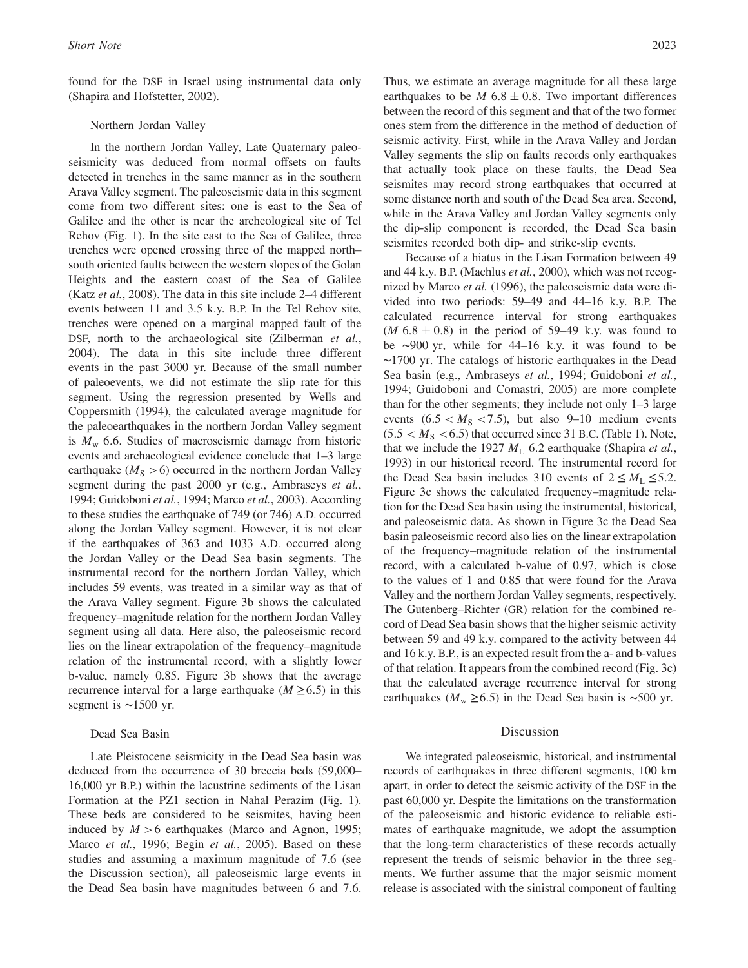found for the DSF in Israel using instrumental data only (Shapira and Hofstetter, 2002).

#### Northern Jordan Valley

In the northern Jordan Valley, Late Quaternary paleoseismicity was deduced from normal offsets on faults detected in trenches in the same manner as in the southern Arava Valley segment. The paleoseismic data in this segment come from two different sites: one is east to the Sea of Galilee and the other is near the archeological site of Tel Rehov (Fig. 1). In the site east to the Sea of Galilee, three trenches were opened crossing three of the mapped north– south oriented faults between the western slopes of the Golan Heights and the eastern coast of the Sea of Galilee (Katz et al., 2008). The data in this site include 2–4 different events between 11 and 3.5 k.y. B.P. In the Tel Rehov site, trenches were opened on a marginal mapped fault of the DSF, north to the archaeological site (Zilberman et al., 2004). The data in this site include three different events in the past 3000 yr. Because of the small number of paleoevents, we did not estimate the slip rate for this segment. Using the regression presented by Wells and Coppersmith (1994), the calculated average magnitude for the paleoearthquakes in the northern Jordan Valley segment is  $M_{\rm w}$  6.6. Studies of macroseismic damage from historic events and archaeological evidence conclude that 1–3 large earthquake ( $M<sub>S</sub> > 6$ ) occurred in the northern Jordan Valley segment during the past 2000 yr (e.g., Ambraseys et al., 1994; Guidoboni et al., 1994; Marco et al., 2003). According to these studies the earthquake of 749 (or 746) A.D. occurred along the Jordan Valley segment. However, it is not clear if the earthquakes of 363 and 1033 A.D. occurred along the Jordan Valley or the Dead Sea basin segments. The instrumental record for the northern Jordan Valley, which includes 59 events, was treated in a similar way as that of the Arava Valley segment. Figure 3b shows the calculated frequency–magnitude relation for the northern Jordan Valley segment using all data. Here also, the paleoseismic record lies on the linear extrapolation of the frequency–magnitude relation of the instrumental record, with a slightly lower b-value, namely 0.85. Figure 3b shows that the average recurrence interval for a large earthquake ( $M \geq 6.5$ ) in this segment is ∼1500 yr.

# Dead Sea Basin

Late Pleistocene seismicity in the Dead Sea basin was deduced from the occurrence of 30 breccia beds (59,000– 16,000 yr B.P.) within the lacustrine sediments of the Lisan Formation at the PZ1 section in Nahal Perazim (Fig. 1). These beds are considered to be seismites, having been induced by  $M > 6$  earthquakes (Marco and Agnon, 1995; Marco et al., 1996; Begin et al., 2005). Based on these studies and assuming a maximum magnitude of 7.6 (see the Discussion section), all paleoseismic large events in the Dead Sea basin have magnitudes between 6 and 7.6.

Thus, we estimate an average magnitude for all these large earthquakes to be M  $6.8 \pm 0.8$ . Two important differences between the record of this segment and that of the two former ones stem from the difference in the method of deduction of seismic activity. First, while in the Arava Valley and Jordan Valley segments the slip on faults records only earthquakes that actually took place on these faults, the Dead Sea seismites may record strong earthquakes that occurred at some distance north and south of the Dead Sea area. Second, while in the Arava Valley and Jordan Valley segments only the dip-slip component is recorded, the Dead Sea basin seismites recorded both dip- and strike-slip events.

Because of a hiatus in the Lisan Formation between 49 and 44 k.y. B.P. (Machlus et al., 2000), which was not recognized by Marco et al. (1996), the paleoseismic data were divided into two periods: 59–49 and 44–16 k.y. B.P. The calculated recurrence interval for strong earthquakes  $(M 6.8 \pm 0.8)$  in the period of 59–49 k.y. was found to be ∼900 yr, while for 44–16 k.y. it was found to be ∼1700 yr. The catalogs of historic earthquakes in the Dead Sea basin (e.g., Ambraseys et al., 1994; Guidoboni et al., 1994; Guidoboni and Comastri, 2005) are more complete than for the other segments; they include not only 1–3 large events  $(6.5 < M<sub>S</sub> < 7.5)$ , but also 9–10 medium events  $(5.5 < M<sub>S</sub> < 6.5)$  that occurred since 31 B.C. (Table 1). Note, that we include the 1927  $M<sub>L</sub>$  6.2 earthquake (Shapira *et al.*, 1993) in our historical record. The instrumental record for the Dead Sea basin includes 310 events of  $2 \leq M_L \leq 5.2$ . Figure 3c shows the calculated frequency–magnitude relation for the Dead Sea basin using the instrumental, historical, and paleoseismic data. As shown in Figure 3c the Dead Sea basin paleoseismic record also lies on the linear extrapolation of the frequency–magnitude relation of the instrumental record, with a calculated b-value of 0.97, which is close to the values of 1 and 0.85 that were found for the Arava Valley and the northern Jordan Valley segments, respectively. The Gutenberg–Richter (GR) relation for the combined record of Dead Sea basin shows that the higher seismic activity between 59 and 49 k.y. compared to the activity between 44 and 16 k.y. B.P., is an expected result from the a- and b-values of that relation. It appears from the combined record (Fig. 3c) that the calculated average recurrence interval for strong earthquakes ( $M_{\text{w}}$  ≥6.5) in the Dead Sea basin is ~500 yr.

#### Discussion

We integrated paleoseismic, historical, and instrumental records of earthquakes in three different segments, 100 km apart, in order to detect the seismic activity of the DSF in the past 60,000 yr. Despite the limitations on the transformation of the paleoseismic and historic evidence to reliable estimates of earthquake magnitude, we adopt the assumption that the long-term characteristics of these records actually represent the trends of seismic behavior in the three segments. We further assume that the major seismic moment release is associated with the sinistral component of faulting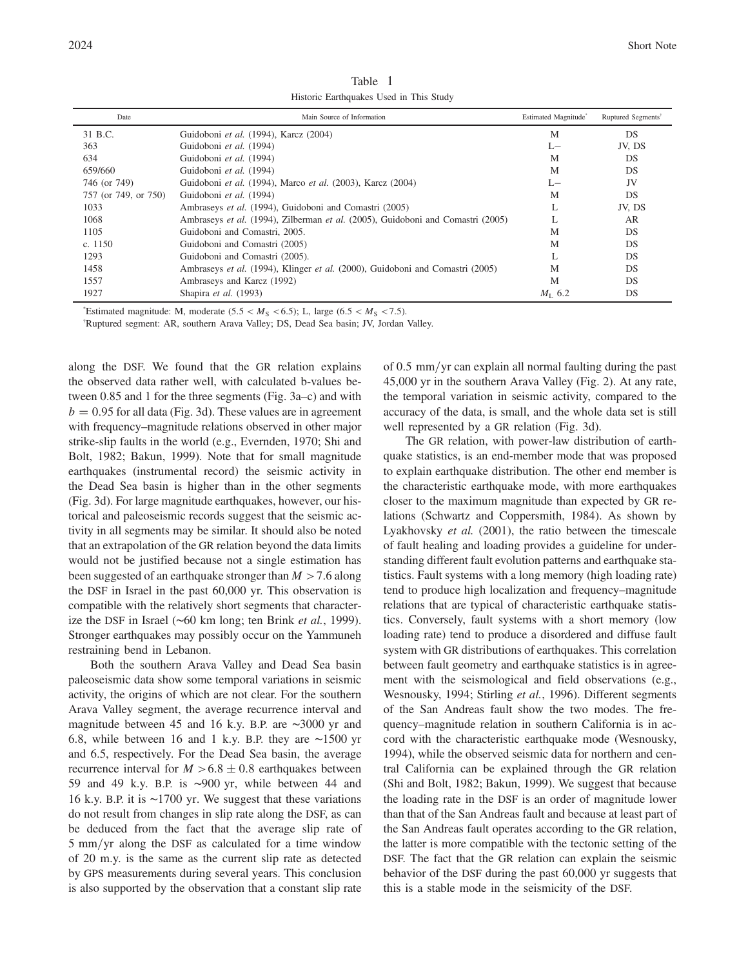| Date                 | Main Source of Information                                                      | Estimated Magnitude* | Ruptured Segments <sup>†</sup> |
|----------------------|---------------------------------------------------------------------------------|----------------------|--------------------------------|
| 31 B.C.              | Guidoboni et al. (1994), Karcz (2004)                                           | M                    | DS                             |
| 363                  | Guidoboni et al. (1994)                                                         | L-                   | JV, DS                         |
| 634                  | Guidoboni et al. (1994)                                                         | M                    | DS                             |
| 659/660              | Guidoboni et al. (1994)                                                         | M                    | DS                             |
| 746 (or 749)         | Guidoboni et al. (1994), Marco et al. (2003), Karcz (2004)                      | $L -$                | JV                             |
| 757 (or 749, or 750) | Guidoboni et al. (1994)                                                         | M                    | DS                             |
| 1033                 | Ambraseys et al. (1994), Guidoboni and Comastri (2005)                          | L                    | JV, DS                         |
| 1068                 | Ambraseys et al. (1994), Zilberman et al. (2005), Guidoboni and Comastri (2005) | Ι.                   | <b>AR</b>                      |
| 1105                 | Guidoboni and Comastri, 2005.                                                   | M                    | DS                             |
| c. $1150$            | Guidoboni and Comastri (2005)                                                   | M                    | DS                             |
| 1293                 | Guidoboni and Comastri (2005).                                                  | L                    | DS                             |
| 1458                 | Ambraseys et al. (1994), Klinger et al. (2000), Guidoboni and Comastri (2005)   | M                    | DS                             |
| 1557                 | Ambraseys and Karcz (1992)                                                      | M                    | DS                             |
| 1927                 | Shapira et al. (1993)                                                           | $M_{\rm L}$ 6.2      | DS                             |

Table 1 Historic Earthquakes Used in This Study

\*Estimated magnitude: M, moderate (5.5  $\lt M_S \lt 6.5$ ); L, large (6.5  $\lt M_S \lt 7.5$ ).<br><sup>†</sup>Puntured segment: AB, southern Arays Vallay: DS. Deed See hesin: IV, Lerden.

Ruptured segment: AR, southern Arava Valley; DS, Dead Sea basin; JV, Jordan Valley.

along the DSF. We found that the GR relation explains the observed data rather well, with calculated b-values between 0.85 and 1 for the three segments (Fig. 3a–c) and with  $b = 0.95$  for all data (Fig. 3d). These values are in agreement with frequency–magnitude relations observed in other major strike-slip faults in the world (e.g., Evernden, 1970; Shi and Bolt, 1982; Bakun, 1999). Note that for small magnitude earthquakes (instrumental record) the seismic activity in the Dead Sea basin is higher than in the other segments (Fig. 3d). For large magnitude earthquakes, however, our historical and paleoseismic records suggest that the seismic activity in all segments may be similar. It should also be noted that an extrapolation of the GR relation beyond the data limits would not be justified because not a single estimation has been suggested of an earthquake stronger than  $M > 7.6$  along the DSF in Israel in the past 60,000 yr. This observation is compatible with the relatively short segments that characterize the DSF in Israel (∼60 km long; ten Brink et al., 1999). Stronger earthquakes may possibly occur on the Yammuneh restraining bend in Lebanon.

Both the southern Arava Valley and Dead Sea basin paleoseismic data show some temporal variations in seismic activity, the origins of which are not clear. For the southern Arava Valley segment, the average recurrence interval and magnitude between 45 and 16 k.y. B.P. are ∼3000 yr and 6.8, while between 16 and 1 k.y. B.P. they are ∼1500 yr and 6.5, respectively. For the Dead Sea basin, the average recurrence interval for  $M > 6.8 \pm 0.8$  earthquakes between 59 and 49 k.y. B.P. is ∼900 yr, while between 44 and 16 k.y. B.P. it is ∼1700 yr. We suggest that these variations do not result from changes in slip rate along the DSF, as can be deduced from the fact that the average slip rate of 5 mm/yr along the DSF as calculated for a time window of 20 m.y. is the same as the current slip rate as detected by GPS measurements during several years. This conclusion is also supported by the observation that a constant slip rate

of  $0.5 \text{ mm/yr}$  can explain all normal faulting during the past 45,000 yr in the southern Arava Valley (Fig. 2). At any rate, the temporal variation in seismic activity, compared to the accuracy of the data, is small, and the whole data set is still well represented by a GR relation (Fig. 3d).

The GR relation, with power-law distribution of earthquake statistics, is an end-member mode that was proposed to explain earthquake distribution. The other end member is the characteristic earthquake mode, with more earthquakes closer to the maximum magnitude than expected by GR relations (Schwartz and Coppersmith, 1984). As shown by Lyakhovsky *et al.* (2001), the ratio between the timescale of fault healing and loading provides a guideline for understanding different fault evolution patterns and earthquake statistics. Fault systems with a long memory (high loading rate) tend to produce high localization and frequency–magnitude relations that are typical of characteristic earthquake statistics. Conversely, fault systems with a short memory (low loading rate) tend to produce a disordered and diffuse fault system with GR distributions of earthquakes. This correlation between fault geometry and earthquake statistics is in agreement with the seismological and field observations (e.g., Wesnousky, 1994; Stirling et al., 1996). Different segments of the San Andreas fault show the two modes. The frequency–magnitude relation in southern California is in accord with the characteristic earthquake mode (Wesnousky, 1994), while the observed seismic data for northern and central California can be explained through the GR relation (Shi and Bolt, 1982; Bakun, 1999). We suggest that because the loading rate in the DSF is an order of magnitude lower than that of the San Andreas fault and because at least part of the San Andreas fault operates according to the GR relation, the latter is more compatible with the tectonic setting of the DSF. The fact that the GR relation can explain the seismic behavior of the DSF during the past 60,000 yr suggests that this is a stable mode in the seismicity of the DSF.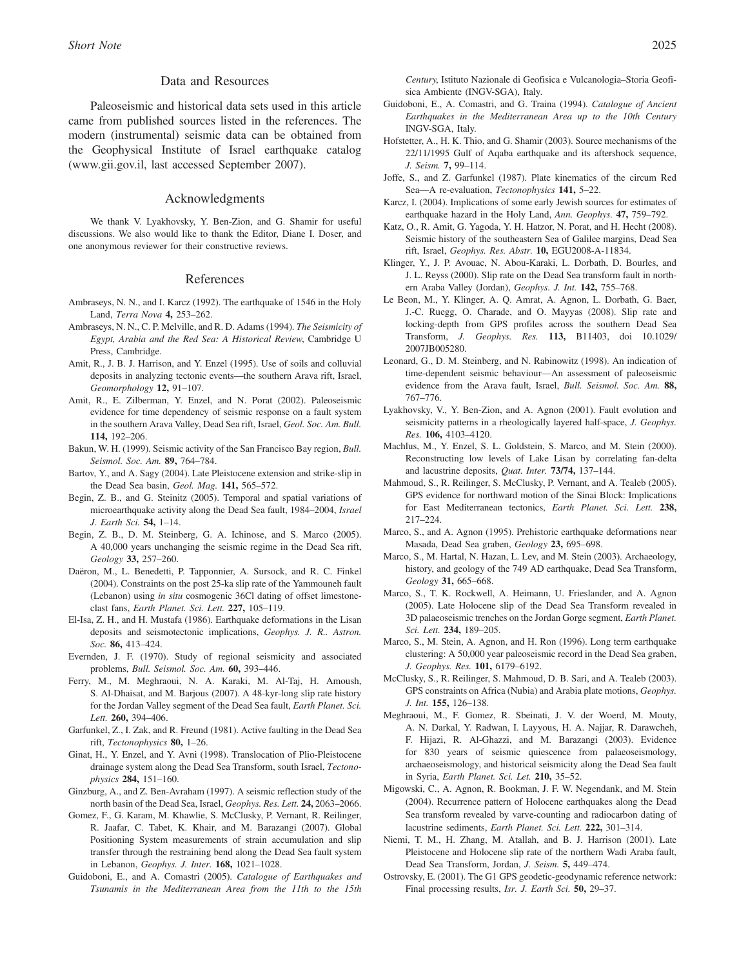# Data and Resources

Paleoseismic and historical data sets used in this article came from published sources listed in the references. The modern (instrumental) seismic data can be obtained from the Geophysical Institute of Israel earthquake catalog (www.gii.gov.il, last accessed September 2007).

## Acknowledgments

We thank V. Lyakhovsky, Y. Ben-Zion, and G. Shamir for useful discussions. We also would like to thank the Editor, Diane I. Doser, and one anonymous reviewer for their constructive reviews.

#### References

- Ambraseys, N. N., and I. Karcz (1992). The earthquake of 1546 in the Holy Land, Terra Nova 4, <sup>253</sup>–262.
- Ambraseys, N. N., C. P. Melville, and R. D. Adams (1994). The Seismicity of Egypt, Arabia and the Red Sea: A Historical Review, Cambridge U Press, Cambridge.
- Amit, R., J. B. J. Harrison, and Y. Enzel (1995). Use of soils and colluvial deposits in analyzing tectonic events—the southern Arava rift, Israel, Geomorphology 12, <sup>91</sup>–107.
- Amit, R., E. Zilberman, Y. Enzel, and N. Porat (2002). Paleoseismic evidence for time dependency of seismic response on a fault system in the southern Arava Valley, Dead Sea rift, Israel, Geol. Soc. Am. Bull. 114, <sup>192</sup>–206.
- Bakun, W. H. (1999). Seismic activity of the San Francisco Bay region, Bull. Seismol. Soc. Am. 89, <sup>764</sup>–784.
- Bartov, Y., and A. Sagy (2004). Late Pleistocene extension and strike-slip in the Dead Sea basin, Geol. Mag. 141, <sup>565</sup>–572.
- Begin, Z. B., and G. Steinitz (2005). Temporal and spatial variations of microearthquake activity along the Dead Sea fault, 1984–2004, Israel J. Earth Sci. 54, <sup>1</sup>–14.
- Begin, Z. B., D. M. Steinberg, G. A. Ichinose, and S. Marco (2005). A 40,000 years unchanging the seismic regime in the Dead Sea rift, Geology 33, <sup>257</sup>–260.
- Daëron, M., L. Benedetti, P. Tapponnier, A. Sursock, and R. C. Finkel (2004). Constraints on the post 25-ka slip rate of the Yammouneh fault (Lebanon) using in situ cosmogenic 36Cl dating of offset limestoneclast fans, Earth Planet. Sci. Lett. 227, <sup>105</sup>–119.
- El-Isa, Z. H., and H. Mustafa (1986). Earthquake deformations in the Lisan deposits and seismotectonic implications, Geophys. J. R.. Astron. Soc. 86, 413-424.
- Evernden, J. F. (1970). Study of regional seismicity and associated problems, Bull. Seismol. Soc. Am. 60, <sup>393</sup>–446.
- Ferry, M., M. Meghraoui, N. A. Karaki, M. Al-Taj, H. Amoush, S. Al-Dhaisat, and M. Barjous (2007). A 48-kyr-long slip rate history for the Jordan Valley segment of the Dead Sea fault, Earth Planet. Sci. Lett. 260, <sup>394</sup>–406.
- Garfunkel, Z., I. Zak, and R. Freund (1981). Active faulting in the Dead Sea rift, Tectonophysics 80, <sup>1</sup>–26.
- Ginat, H., Y. Enzel, and Y. Avni (1998). Translocation of Plio-Pleistocene drainage system along the Dead Sea Transform, south Israel, Tectonophysics 284, <sup>151</sup>–160.
- Ginzburg, A., and Z. Ben-Avraham (1997). A seismic reflection study of the north basin of the Dead Sea, Israel, Geophys. Res. Lett. 24, <sup>2063</sup>–2066.
- Gomez, F., G. Karam, M. Khawlie, S. McClusky, P. Vernant, R. Reilinger, R. Jaafar, C. Tabet, K. Khair, and M. Barazangi (2007). Global Positioning System measurements of strain accumulation and slip transfer through the restraining bend along the Dead Sea fault system in Lebanon, Geophys. J. Inter. 168, <sup>1021</sup>–1028.
- Guidoboni, E., and A. Comastri (2005). Catalogue of Earthquakes and Tsunamis in the Mediterranean Area from the 11th to the 15th

Century, Istituto Nazionale di Geofisica e Vulcanologia–Storia Geofisica Ambiente (INGV-SGA), Italy.

- Guidoboni, E., A. Comastri, and G. Traina (1994). Catalogue of Ancient Earthquakes in the Mediterranean Area up to the 10th Century INGV-SGA, Italy.
- Hofstetter, A., H. K. Thio, and G. Shamir (2003). Source mechanisms of the 22/11/1995 Gulf of Aqaba earthquake and its aftershock sequence, J. Seism. 7, <sup>99</sup>–114.
- Joffe, S., and Z. Garfunkel (1987). Plate kinematics of the circum Red Sea-A re-evaluation, Tectonophysics 141, 5-22.
- Karcz, I. (2004). Implications of some early Jewish sources for estimates of earthquake hazard in the Holy Land, Ann. Geophys. 47, <sup>759</sup>–792.
- Katz, O., R. Amit, G. Yagoda, Y. H. Hatzor, N. Porat, and H. Hecht (2008). Seismic history of the southeastern Sea of Galilee margins, Dead Sea rift, Israel, Geophys. Res. Abstr. 10, EGU2008-A-11834.
- Klinger, Y., J. P. Avouac, N. Abou-Karaki, L. Dorbath, D. Bourles, and J. L. Reyss (2000). Slip rate on the Dead Sea transform fault in northern Araba Valley (Jordan), Geophys. J. Int. 142, <sup>755</sup>–768.
- Le Beon, M., Y. Klinger, A. Q. Amrat, A. Agnon, L. Dorbath, G. Baer, J.-C. Ruegg, O. Charade, and O. Mayyas (2008). Slip rate and locking-depth from GPS profiles across the southern Dead Sea Transform, J. Geophys. Res. 113, B11403, doi 10.1029/ 2007JB005280.
- Leonard, G., D. M. Steinberg, and N. Rabinowitz (1998). An indication of time-dependent seismic behaviour—An assessment of paleoseismic evidence from the Arava fault, Israel, Bull. Seismol. Soc. Am. 88, 767–776.
- Lyakhovsky, V., Y. Ben-Zion, and A. Agnon (2001). Fault evolution and seismicity patterns in a rheologically layered half-space, J. Geophys. Res. 106, <sup>4103</sup>–4120.
- Machlus, M., Y. Enzel, S. L. Goldstein, S. Marco, and M. Stein (2000). Reconstructing low levels of Lake Lisan by correlating fan-delta and lacustrine deposits, Quat. Inter. 73/74, 137-144.
- Mahmoud, S., R. Reilinger, S. McClusky, P. Vernant, and A. Tealeb (2005). GPS evidence for northward motion of the Sinai Block: Implications for East Mediterranean tectonics, Earth Planet. Sci. Lett. 238, 217–224.
- Marco, S., and A. Agnon (1995). Prehistoric earthquake deformations near Masada, Dead Sea graben, Geology 23, <sup>695</sup>–698.
- Marco, S., M. Hartal, N. Hazan, L. Lev, and M. Stein (2003). Archaeology, history, and geology of the 749 AD earthquake, Dead Sea Transform, Geology 31, <sup>665</sup>–668.
- Marco, S., T. K. Rockwell, A. Heimann, U. Frieslander, and A. Agnon (2005). Late Holocene slip of the Dead Sea Transform revealed in 3D palaeoseismic trenches on the Jordan Gorge segment, Earth Planet. Sci. Lett. 234, <sup>189</sup>–205.
- Marco, S., M. Stein, A. Agnon, and H. Ron (1996). Long term earthquake clustering: A 50,000 year paleoseismic record in the Dead Sea graben, J. Geophys. Res. 101, <sup>6179</sup>–6192.
- McClusky, S., R. Reilinger, S. Mahmoud, D. B. Sari, and A. Tealeb (2003). GPS constraints on Africa (Nubia) and Arabia plate motions, Geophys. J. Int. 155, <sup>126</sup>–138.
- Meghraoui, M., F. Gomez, R. Sbeinati, J. V. der Woerd, M. Mouty, A. N. Darkal, Y. Radwan, I. Layyous, H. A. Najjar, R. Darawcheh, F. Hijazi, R. Al-Ghazzi, and M. Barazangi (2003). Evidence for 830 years of seismic quiescence from palaeoseismology, archaeoseismology, and historical seismicity along the Dead Sea fault in Syria, Earth Planet. Sci. Let. 210, <sup>35</sup>–52.
- Migowski, C., A. Agnon, R. Bookman, J. F. W. Negendank, and M. Stein (2004). Recurrence pattern of Holocene earthquakes along the Dead Sea transform revealed by varve-counting and radiocarbon dating of lacustrine sediments, Earth Planet. Sci. Lett. 222, 301-314.
- Niemi, T. M., H. Zhang, M. Atallah, and B. J. Harrison (2001). Late Pleistocene and Holocene slip rate of the northern Wadi Araba fault, Dead Sea Transform, Jordan, J. Seism. 5, <sup>449</sup>–474.
- Ostrovsky, E. (2001). The G1 GPS geodetic-geodynamic reference network: Final processing results, Isr. J. Earth Sci. 50, 29–37.